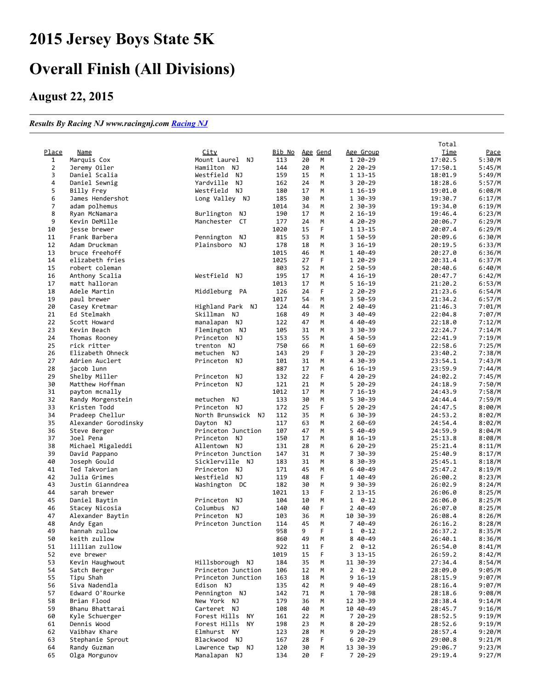## Jersey Boys State 5K

## Overall Finish (All Divisions)

## August 22, 2015

## Results By Racing NJ www.racingnj.com [Racing](http://www.racingnj.com/) NJ

|                |                      |                             |            |     |        |                 | Total   |        |
|----------------|----------------------|-----------------------------|------------|-----|--------|-----------------|---------|--------|
| Place          | Name                 | City                        | Bib No     | Age | Gend   | Age Group       | Time    | Pace   |
| 1              | Marquis Cox          | Mount Laurel NJ             | 113        | 20  | M      | 1 20-29         | 17:02.5 | 5:30/M |
| $\overline{2}$ | Jeremy Oiler         | Hamilton NJ                 | 144        | 20  | М      | $220 - 29$      | 17:50.1 | 5:45/M |
| 3              | Daniel Scalia        | Westfield<br>NJ             | 159        | 15  | M      | $113 - 15$      | 18:01.9 | 5:49/M |
| 4              | Daniel Sewnig        | Yardville<br>NJ             | 162        | 24  | M      | $320 - 29$      | 18:28.6 | 5:57/M |
| 5              | Billy Frey           | Westfield<br>NJ             | 180        | 17  | M      | 1 16-19         | 19:01.0 | 6:08/M |
| 6              | James Hendershot     | Long Valley NJ              | 185        | 30  | M      | 1 30-39         | 19:30.7 | 6:17/M |
| 7              | adam polhemus        |                             | 1014       | 34  | M      | $2.30 - 39$     | 19:34.0 | 6:19/M |
| 8              | Ryan McNamara        | Burlington<br>NJ            | 190        | 17  | M      | $2 16 - 19$     | 19:46.4 | 6:23/M |
| 9              | Kevin DeMille        | СT<br>Manchester            | 177        | 24  | M      | 4 20 - 29       | 20:06.7 | 6:29/M |
| 10             | jesse brewer         |                             | 1020       | 15  | F      | $113 - 15$      | 20:07.4 | 6:29/M |
| 11             | Frank Barbera        | Pennington<br>ΝJ            | 815        | 53  | M      | 1 50-59         | 20:09.6 | 6:30/M |
| 12             | Adam Druckman        | Plainsboro<br>NJ            | 178        | 18  | M      | $316-19$        | 20:19.5 | 6:33/M |
| 13             | bruce freehoff       |                             | 1015       | 46  | М      | 1 40-49         | 20:27.0 | 6:36/M |
| 14             | elizabeth fries      |                             | 1025       | 27  | F      | 1 20-29         | 20:31.4 | 6:37/M |
| 15             | robert coleman       |                             | 803        | 52  | M      | 2 50-59         | 20:40.6 | 6:40/M |
| 16             | Anthony Scalia       | Westfield<br>NJ             | 195        | 17  | M      | 4 16-19         | 20:47.7 | 6:42/M |
| 17             | matt halloran        |                             | 1013       | 17  | M      | $5 16 - 19$     | 21:20.2 | 6:53/M |
| 18             | Adele Martin         | Middleburg PA               | 126        | 24  | F      | 2 20 - 29       | 21:23.6 | 6:54/M |
| 19             | paul brewer          |                             | 1017       | 54  | M      | 3 50-59         | 21:34.2 | 6:57/M |
| 20             | Casey Kretmar        | Highland Park NJ            | 124        | 44  | M      | $240 - 49$      | 21:46.3 | 7:01/M |
| 21             | Ed Stelmakh          | Skillman NJ                 | 168        | 49  | M      | 3 40-49         | 22:04.8 | 7:07/M |
| 22             | Scott Howard         | manalapan NJ                | 122        | 47  | M      | 4 40-49         | 22:18.0 | 7:12/M |
| 23             | Kevin Beach          | Flemington NJ               | 105        | 31  | M      | 3 30-39         | 22:24.7 | 7:14/M |
| 24             | Thomas Rooney        | Princeton NJ                | 153        | 55  | M      | 4 50-59         | 22:41.9 | 7:19/M |
| 25             | rick ritter          | trenton NJ                  | 750        | 66  | M      | 1 60-69         | 22:58.6 | 7:25/M |
| 26             | Elizabeth Ohneck     | metuchen<br>NJ              | 143        | 29  | F      | 3 20 - 29       | 23:40.2 | 7:38/M |
| 27             | Adrien Auclert       | Princeton NJ                | 101        | 31  | М      | 4 30-39         | 23:54.1 | 7:43/M |
| 28             | jacob lunn           |                             | 887        | 17  | M      | $616-19$        | 23:59.9 | 7:44/M |
| 29             | Shelby Miller        | Princeton<br>NJ             | 132        | 22  | F      | 4 20-29         | 24:02.2 | 7:45/M |
| 30             | Matthew Hoffman      | NJ<br>Princeton             | 121        | 21  | M      | $520 - 29$      | 24:18.9 | 7:50/M |
| 31             | payton mcnally       |                             | 1012       | 17  | M      | $716-19$        | 24:43.9 | 7:58/M |
| 32             | Randy Morgenstein    | metuchen<br>NJ              | 133        | 30  | M      | 5.<br>$30 - 39$ | 24:44.4 | 7:59/M |
| 33             | Kristen Todd         | Princeton NJ                | 172        | 25  | F      | $520 - 29$      | 24:47.5 | 8:00/M |
| 34             | Pradeep Chellur      | North Brunswick NJ          | 112        | 35  | M      | $630-39$        | 24:53.2 | 8:02/M |
| 35             | Alexander Gorodinsky | Dayton NJ                   | 117        | 63  | М      | $260 - 69$      | 24:54.4 | 8:02/M |
| 36             | Steve Berger         | Princeton Junction          | 107        | 47  | M      | 5 40-49         | 24:59.9 | 8:04/M |
| 37             | Joel Pena            | Princeton<br>NJ             | 150        | 17  | М      | 8 16-19         | 25:13.8 | 8:08/M |
| 38             | Michael Migaleddi    | Allentown<br>NJ             | 131        | 28  | M      | $620-29$        | 25:21.4 | 8:11/M |
| 39             | David Pappano        | Princeton Junction          | 147        | 31  | M      | 7 30-39         | 25:40.9 | 8:17/M |
| 40             | Joseph Gould         | Sicklerville NJ             | 183        | 31  | M      | 8 30-39         | 25:45.1 | 8:18/M |
| 41             | Ted Takvorian        | Princeton NJ                | 171        | 45  | M      | 6 40 - 49       | 25:47.2 | 8:19/M |
| 42             | Julia Grimes         | Westfield NJ                | 119        | 48  | F      | 1 40-49         | 26:00.2 | 8:23/M |
| 43             | Justin Gianndrea     | Washington DC               | 182        | 30  | M      | $9.30 - 39$     | 26:02.9 | 8:24/M |
| 44             | sarah brewer         |                             | 1021       | 13  | F      | $2$ 13-15       | 26:06.0 | 8:25/M |
| 45             | Daniel Baytin        | Princeton<br>NJ             | 104        | 10  | M      | $0 - 12$<br>1   | 26:06.0 | 8:25/M |
| 46             | Stacey Nicosia       | <b>NJ</b><br>Columbus       | 140        | 40  | F      | 2 40-49         | 26:07.0 | 8:25/M |
| 47             | Alexander Baytin     | Princeton<br>NJ             | 103        | 36  | M      | 10 30-39        | 26:08.4 | 8:26/M |
| 48             | Andy Egan            | Princeton Junction          | 114        | 45  | M      | 7 40-49         | 26:16.2 | 8:28/M |
| 49             | hannah zullow        |                             | 958        | 9   | F      | 1 0-12          | 26:37.2 | 8:35/M |
| 50             | keith zullow         |                             | 860        | 49  | M      | 8 40 - 49       | 26:40.1 | 8:36/M |
| 51             | lillian zullow       |                             | 922        | 11  | F      | $2 \quad 0-12$  | 26:54.0 | 8:41/M |
| 52             | eve brewer           |                             | 1019       | 15  | F      | 3 13-15         | 26:59.2 | 8:42/M |
| 53             | Kevin Haughwout      | Hillsborough NJ             | 184        | 35  | M      | 11 30-39        | 27:34.4 | 8:54/M |
| 54             | Satch Berger         | Princeton Junction          | 106        | 12  | M      | $2 \quad 0-12$  | 28:09.0 | 9:05/M |
| 55             | Tipu Shah            | Princeton Junction          | 163        | 18  | М      | $9 16 - 19$     | 28:15.9 | 9:07/M |
| 56             | Siva Nadendla        | Edison NJ                   | 135        | 42  | M      | 9 40 - 49       | 28:16.4 | 9:07/M |
| 57             | Edward O'Rourke      | Pennington NJ               | 142        | 71  | M      | 1 70-98         | 28:18.6 | 9:08/M |
| 58             | Brian Flood          | New York NJ                 | 179        | 36  | М      | 12 30-39        | 28:38.4 | 9:14/M |
| 59             | Bhanu Bhattarai      | Carteret NJ                 | 108        | 40  | М      | 10 40-49        | 28:45.7 | 9:16/M |
| 60             | Kyle Schuerger       | Forest Hills<br>ΝY          | 161        | 22  | М      | 7 20 - 29       | 28:52.5 | 9:19/M |
| 61             | Dennis Wood          | Forest Hills<br>ΝY          | 198        | 23  | М      | 8 20 - 29       | 28:52.6 | 9:19/M |
|                | Vaibhav Khare        |                             |            | 28  |        | $920-29$        |         |        |
| 62             |                      | Elmhurst NY<br>Blackwood NJ | 123        | 28  | M<br>F | $620-29$        | 28:57.4 | 9:20/M |
| 63<br>64       | Stephanie Sprout     | Lawrence twp NJ             | 167<br>120 | 30  |        | 13 30-39        | 29:00.8 | 9:21/M |
|                | Randy Guzman         |                             |            |     | М      |                 | 29:06.7 | 9:23/M |
| 65             | Olga Morgunov        | Manalapan NJ                | 134        | 20  | F      | 7 20 - 29       | 29:19.4 | 9:27/M |